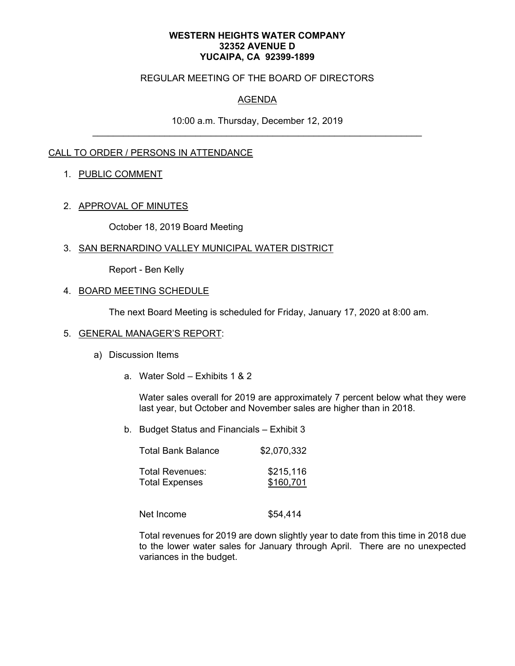#### **WESTERN HEIGHTS WATER COMPANY 32352 AVENUE D YUCAIPA, CA 92399-1899**

### REGULAR MEETING OF THE BOARD OF DIRECTORS

# AGENDA

10:00 a.m. Thursday, December 12, 2019 \_\_\_\_\_\_\_\_\_\_\_\_\_\_\_\_\_\_\_\_\_\_\_\_\_\_\_\_\_\_\_\_\_\_\_\_\_\_\_\_\_\_\_\_\_\_\_\_\_\_\_\_\_\_\_\_\_\_\_\_\_\_\_\_

## CALL TO ORDER / PERSONS IN ATTENDANCE

### 1. PUBLIC COMMENT

#### 2. APPROVAL OF MINUTES

October 18, 2019 Board Meeting

#### 3. SAN BERNARDINO VALLEY MUNICIPAL WATER DISTRICT

Report - Ben Kelly

### 4. BOARD MEETING SCHEDULE

The next Board Meeting is scheduled for Friday, January 17, 2020 at 8:00 am.

#### 5. GENERAL MANAGER'S REPORT:

- a) Discussion Items
	- a. Water Sold Exhibits 1 & 2

Water sales overall for 2019 are approximately 7 percent below what they were last year, but October and November sales are higher than in 2018.

b. Budget Status and Financials – Exhibit 3

| <b>Total Bank Balance</b> | \$2,070,332 |
|---------------------------|-------------|
| Total Revenues:           | \$215,116   |
| <b>Total Expenses</b>     | \$160,701   |

Net Income  $$54,414$ 

Total revenues for 2019 are down slightly year to date from this time in 2018 due to the lower water sales for January through April. There are no unexpected variances in the budget.